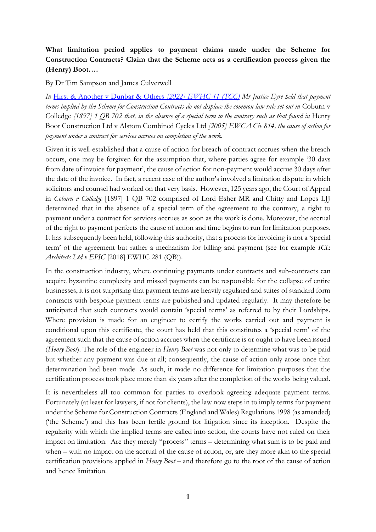# **What limitation period applies to payment claims made under the Scheme for Construction Contracts? Claim that the Scheme acts as a certification process given the (Henry) Boot….**

By Dr Tim Sampson and James Culverwell

*In* [Hirst & Another v Dunbar & Others](https://www.bailii.org/ew/cases/EWHC/TCC/2022/41.html) *[2022] EWHC 41 (TCC) Mr Justice Eyre held that payment terms implied by the Scheme for Construction Contracts do not displace the common law rule set out in* Coburn v Colledge *[1897] 1 QB 702 that, in the absence of a special term to the contrary such as that found in* Henry Boot Construction Ltd v Alstom Combined Cycles Ltd *[2005] EWCA Civ 814, the cause of action for payment under a contract for services accrues on completion of the work.* 

Given it is well-established that a cause of action for breach of contract accrues when the breach occurs, one may be forgiven for the assumption that, where parties agree for example '30 days from date of invoice for payment', the cause of action for non-payment would accrue 30 days after the date of the invoice. In fact, a recent case of the author's involved a limitation dispute in which solicitors and counsel had worked on that very basis. However, 125 years ago, the Court of Appeal in *Coburn v Colledge* [1897] 1 QB 702 comprised of Lord Esher MR and Chitty and Lopes LJJ determined that in the absence of a special term of the agreement to the contrary, a right to payment under a contract for services accrues as soon as the work is done. Moreover, the accrual of the right to payment perfects the cause of action and time begins to run for limitation purposes. It has subsequently been held, following this authority, that a process for invoicing is not a 'special term' of the agreement but rather a mechanism for billing and payment (see for example *ICE Architects Ltd v EPIC* [2018] EWHC 281 (QB)).

In the construction industry, where continuing payments under contracts and sub-contracts can acquire byzantine complexity and missed payments can be responsible for the collapse of entire businesses, it is not surprising that payment terms are heavily regulated and suites of standard form contracts with bespoke payment terms are published and updated regularly. It may therefore be anticipated that such contracts would contain 'special terms' as referred to by their Lordships. Where provision is made for an engineer to certify the works carried out and payment is conditional upon this certificate, the court has held that this constitutes a 'special term' of the agreement such that the cause of action accrues when the certificate is or ought to have been issued (*Henry Boot*). The role of the engineer in *Henry Boot* was not only to determine what was to be paid but whether any payment was due at all; consequently, the cause of action only arose once that determination had been made. As such, it made no difference for limitation purposes that the certification process took place more than six years after the completion of the works being valued.

It is nevertheless all too common for parties to overlook agreeing adequate payment terms. Fortunately (at least for lawyers, if not for clients), the law now steps in to imply terms for payment under the Scheme for Construction Contracts (England and Wales) Regulations 1998 (as amended) ('the Scheme') and this has been fertile ground for litigation since its inception. Despite the regularity with which the implied terms are called into action, the courts have not ruled on their impact on limitation. Are they merely "process" terms – determining what sum is to be paid and when – with no impact on the accrual of the cause of action, or, are they more akin to the special certification provisions applied in *Henry Boot* – and therefore go to the root of the cause of action and hence limitation.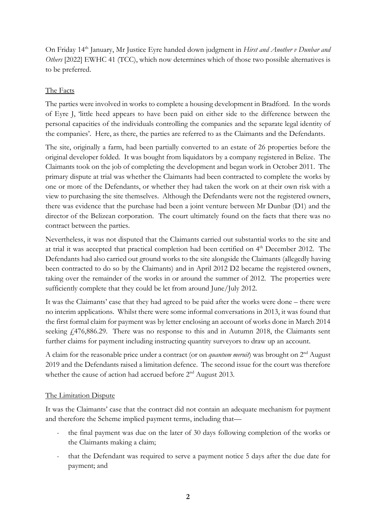On Friday 14<sup>th</sup> January, Mr Justice Eyre handed down judgment in *Hirst and Another v Dunbar and Others* [2022] EWHC 41 (TCC), which now determines which of those two possible alternatives is to be preferred.

## The Facts

The parties were involved in works to complete a housing development in Bradford. In the words of Eyre J, 'little heed appears to have been paid on either side to the difference between the personal capacities of the individuals controlling the companies and the separate legal identity of the companies'. Here, as there, the parties are referred to as the Claimants and the Defendants.

The site, originally a farm, had been partially converted to an estate of 26 properties before the original developer folded. It was bought from liquidators by a company registered in Belize. The Claimants took on the job of completing the development and began work in October 2011. The primary dispute at trial was whether the Claimants had been contracted to complete the works by one or more of the Defendants, or whether they had taken the work on at their own risk with a view to purchasing the site themselves. Although the Defendants were not the registered owners, there was evidence that the purchase had been a joint venture between Mr Dunbar (D1) and the director of the Belizean corporation. The court ultimately found on the facts that there was no contract between the parties.

Nevertheless, it was not disputed that the Claimants carried out substantial works to the site and at trial it was accepted that practical completion had been certified on 4<sup>th</sup> December 2012. The Defendants had also carried out ground works to the site alongside the Claimants (allegedly having been contracted to do so by the Claimants) and in April 2012 D2 became the registered owners, taking over the remainder of the works in or around the summer of 2012. The properties were sufficiently complete that they could be let from around June/July 2012.

It was the Claimants' case that they had agreed to be paid after the works were done – there were no interim applications. Whilst there were some informal conversations in 2013, it was found that the first formal claim for payment was by letter enclosing an account of works done in March 2014 seeking £476,886.29. There was no response to this and in Autumn 2018, the Claimants sent further claims for payment including instructing quantity surveyors to draw up an account.

A claim for the reasonable price under a contract (or on *quantum meruit*) was brought on 2nd August 2019 and the Defendants raised a limitation defence. The second issue for the court was therefore whether the cause of action had accrued before 2<sup>nd</sup> August 2013.

### The Limitation Dispute

It was the Claimants' case that the contract did not contain an adequate mechanism for payment and therefore the Scheme implied payment terms, including that—

- the final payment was due on the later of 30 days following completion of the works or the Claimants making a claim;
- that the Defendant was required to serve a payment notice 5 days after the due date for payment; and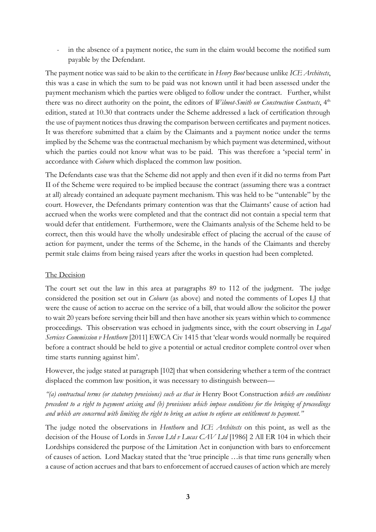in the absence of a payment notice, the sum in the claim would become the notified sum payable by the Defendant.

The payment notice was said to be akin to the certificate in *Henry Boot* because unlike *ICE Architects*, this was a case in which the sum to be paid was not known until it had been assessed under the payment mechanism which the parties were obliged to follow under the contract. Further, whilst there was no direct authority on the point, the editors of *Wilmot-Smith on Construction Contracts*, 4<sup>th</sup> edition, stated at 10.30 that contracts under the Scheme addressed a lack of certification through the use of payment notices thus drawing the comparison between certificates and payment notices. It was therefore submitted that a claim by the Claimants and a payment notice under the terms implied by the Scheme was the contractual mechanism by which payment was determined, without which the parties could not know what was to be paid. This was therefore a 'special term' in accordance with *Coburn* which displaced the common law position.

The Defendants case was that the Scheme did not apply and then even if it did no terms from Part II of the Scheme were required to be implied because the contract (assuming there was a contract at all) already contained an adequate payment mechanism. This was held to be "untenable" by the court. However, the Defendants primary contention was that the Claimants' cause of action had accrued when the works were completed and that the contract did not contain a special term that would defer that entitlement. Furthermore, were the Claimants analysis of the Scheme held to be correct, then this would have the wholly undesirable effect of placing the accrual of the cause of action for payment, under the terms of the Scheme, in the hands of the Claimants and thereby permit stale claims from being raised years after the works in question had been completed.

#### The Decision

The court set out the law in this area at paragraphs 89 to 112 of the judgment. The judge considered the position set out in *Coburn* (as above) and noted the comments of Lopes LJ that were the cause of action to accrue on the service of a bill, that would allow the solicitor the power to wait 20 years before serving their bill and then have another six years within which to commence proceedings. This observation was echoed in judgments since, with the court observing in *Legal Services Commission v Henthorn* [2011] EWCA Civ 1415 that 'clear words would normally be required before a contract should be held to give a potential or actual creditor complete control over when time starts running against him'.

However, the judge stated at paragraph [102] that when considering whether a term of the contract displaced the common law position, it was necessary to distinguish between—

*"(a) contractual terms (or statutory provisions) such as that in* Henry Boot Construction *which are conditions precedent to a right to payment arising and (b) provisions which impose conditions for the bringing of proceedings and which are concerned with limiting the right to bring an action to enforce an entitlement to payment."*

The judge noted the observations in *Henthorn* and *ICE Architects* on this point, as well as the decision of the House of Lords in *Sevcon Ltd v Lucas CAV Ltd* [1986] 2 All ER 104 in which their Lordships considered the purpose of the Limitation Act in conjunction with bars to enforcement of causes of action. Lord Mackay stated that the 'true principle …is that time runs generally when a cause of action accrues and that bars to enforcement of accrued causes of action which are merely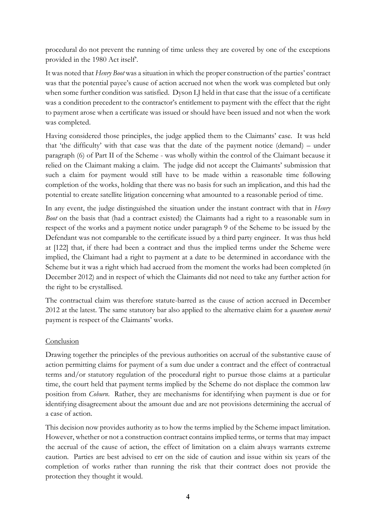procedural do not prevent the running of time unless they are covered by one of the exceptions provided in the 1980 Act itself'.

It was noted that *Henry Boot* was a situation in which the proper construction of the parties' contract was that the potential payee's cause of action accrued not when the work was completed but only when some further condition was satisfied. Dyson LJ held in that case that the issue of a certificate was a condition precedent to the contractor's entitlement to payment with the effect that the right to payment arose when a certificate was issued or should have been issued and not when the work was completed.

Having considered those principles, the judge applied them to the Claimants' case. It was held that 'the difficulty' with that case was that the date of the payment notice (demand) – under paragraph (6) of Part II of the Scheme - was wholly within the control of the Claimant because it relied on the Claimant making a claim. The judge did not accept the Claimants' submission that such a claim for payment would still have to be made within a reasonable time following completion of the works, holding that there was no basis for such an implication, and this had the potential to create satellite litigation concerning what amounted to a reasonable period of time.

In any event, the judge distinguished the situation under the instant contract with that in *Henry Boot* on the basis that (had a contract existed) the Claimants had a right to a reasonable sum in respect of the works and a payment notice under paragraph 9 of the Scheme to be issued by the Defendant was not comparable to the certificate issued by a third party engineer. It was thus held at [122] that, if there had been a contract and thus the implied terms under the Scheme were implied, the Claimant had a right to payment at a date to be determined in accordance with the Scheme but it was a right which had accrued from the moment the works had been completed (in December 2012) and in respect of which the Claimants did not need to take any further action for the right to be crystallised.

The contractual claim was therefore statute-barred as the cause of action accrued in December 2012 at the latest. The same statutory bar also applied to the alternative claim for a *quantum meruit* payment is respect of the Claimants' works.

### **Conclusion**

Drawing together the principles of the previous authorities on accrual of the substantive cause of action permitting claims for payment of a sum due under a contract and the effect of contractual terms and/or statutory regulation of the procedural right to pursue those claims at a particular time, the court held that payment terms implied by the Scheme do not displace the common law position from *Coburn*. Rather, they are mechanisms for identifying when payment is due or for identifying disagreement about the amount due and are not provisions determining the accrual of a case of action.

This decision now provides authority as to how the terms implied by the Scheme impact limitation. However, whether or not a construction contract contains implied terms, or terms that may impact the accrual of the cause of action, the effect of limitation on a claim always warrants extreme caution. Parties are best advised to err on the side of caution and issue within six years of the completion of works rather than running the risk that their contract does not provide the protection they thought it would.